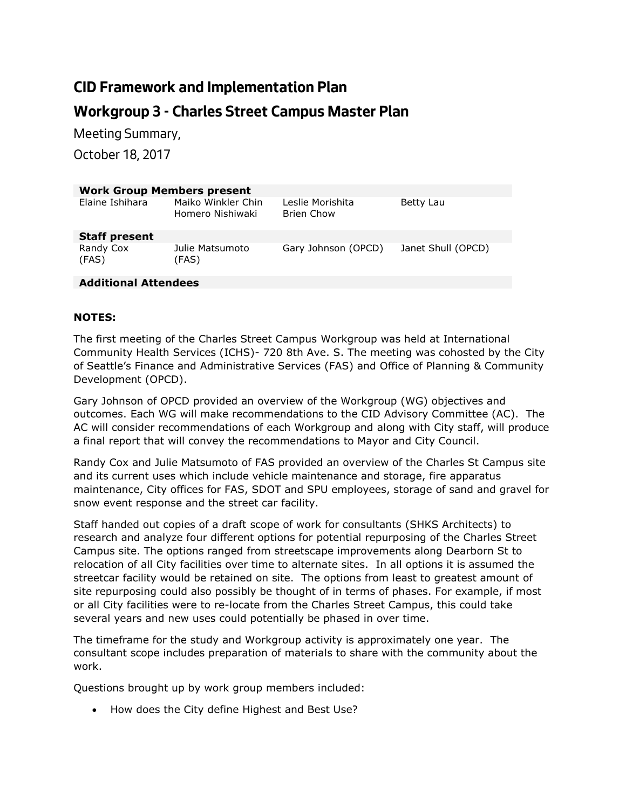## **CID Framework and Implementation Plan Workgroup 3 - Charles Street Campus Master Plan**

*Meeting Summary,* 

*October 18, 2017*

| <b>Work Group Members present</b> |                                        |                                |                    |
|-----------------------------------|----------------------------------------|--------------------------------|--------------------|
| Elaine Ishihara                   | Maiko Winkler Chin<br>Homero Nishiwaki | Leslie Morishita<br>Brien Chow | Betty Lau          |
| <b>Staff present</b>              |                                        |                                |                    |
| Randy Cox<br>(FAS)                | Julie Matsumoto<br>(FAS)               | Gary Johnson (OPCD)            | Janet Shull (OPCD) |
| <b>Additional Attendees</b>       |                                        |                                |                    |

## **NOTES:**

The first meeting of the Charles Street Campus Workgroup was held at International Community Health Services (ICHS)- 720 8th Ave. S. The meeting was cohosted by the City of Seattle's Finance and Administrative Services (FAS) and Office of Planning & Community Development (OPCD).

Gary Johnson of OPCD provided an overview of the Workgroup (WG) objectives and outcomes. Each WG will make recommendations to the CID Advisory Committee (AC). The AC will consider recommendations of each Workgroup and along with City staff, will produce a final report that will convey the recommendations to Mayor and City Council.

Randy Cox and Julie Matsumoto of FAS provided an overview of the Charles St Campus site and its current uses which include vehicle maintenance and storage, fire apparatus maintenance, City offices for FAS, SDOT and SPU employees, storage of sand and gravel for snow event response and the street car facility.

Staff handed out copies of a draft scope of work for consultants (SHKS Architects) to research and analyze four different options for potential repurposing of the Charles Street Campus site. The options ranged from streetscape improvements along Dearborn St to relocation of all City facilities over time to alternate sites. In all options it is assumed the streetcar facility would be retained on site. The options from least to greatest amount of site repurposing could also possibly be thought of in terms of phases. For example, if most or all City facilities were to re-locate from the Charles Street Campus, this could take several years and new uses could potentially be phased in over time.

The timeframe for the study and Workgroup activity is approximately one year. The consultant scope includes preparation of materials to share with the community about the work.

Questions brought up by work group members included:

• How does the City define Highest and Best Use?